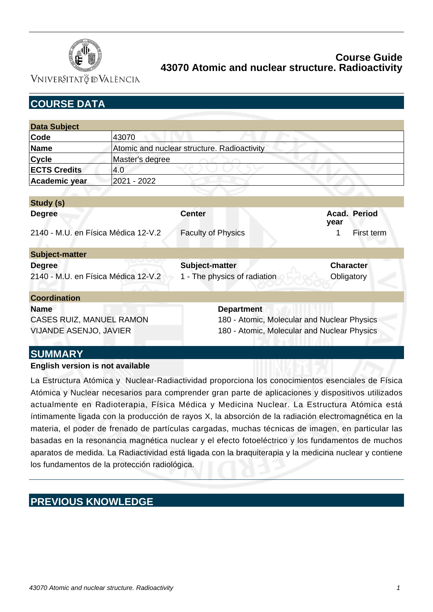

VNIVERSITATÖ ID VALÈNCIA

| <b>COURSE DATA</b>                  |                                             |                                             |                      |  |
|-------------------------------------|---------------------------------------------|---------------------------------------------|----------------------|--|
|                                     |                                             |                                             |                      |  |
| <b>Data Subject</b>                 |                                             |                                             |                      |  |
| Code                                | 43070                                       |                                             |                      |  |
| <b>Name</b>                         | Atomic and nuclear structure. Radioactivity |                                             |                      |  |
| <b>Cycle</b>                        | Master's degree                             |                                             |                      |  |
| <b>ECTS Credits</b>                 | 4.0                                         |                                             |                      |  |
| Academic year                       | 2021 - 2022                                 |                                             |                      |  |
|                                     |                                             |                                             |                      |  |
| Study (s)                           |                                             |                                             |                      |  |
| <b>Degree</b>                       |                                             | <b>Center</b>                               | Acad. Period<br>year |  |
| 2140 - M.U. en Física Médica 12-V.2 |                                             | <b>Faculty of Physics</b>                   | 1<br>First term      |  |
| <b>Subject-matter</b>               |                                             |                                             |                      |  |
| <b>Degree</b>                       |                                             | Subject-matter                              | <b>Character</b>     |  |
| 2140 - M.U. en Física Médica 12-V.2 |                                             | 1 - The physics of radiation                | Obligatory           |  |
| <b>Coordination</b>                 |                                             |                                             |                      |  |
| <b>Name</b>                         |                                             | <b>Department</b>                           |                      |  |
| CASES RUIZ, MANUEL RAMON            |                                             | 180 - Atomic, Molecular and Nuclear Physics |                      |  |
| <b>VIJANDE ASENJO, JAVIER</b>       |                                             | 180 - Atomic, Molecular and Nuclear Physics |                      |  |
| <b>SUMMARY</b>                      |                                             |                                             |                      |  |

### **English version is not available**

La Estructura Atómica y Nuclear-Radiactividad proporciona los conocimientos esenciales de Física Atómica y Nuclear necesarios para comprender gran parte de aplicaciones y dispositivos utilizados actualmente en Radioterapia, Física Médica y Medicina Nuclear. La Estructura Atómica está íntimamente ligada con la producción de rayos X, la absorción de la radiación electromagnética en la materia, el poder de frenado de partículas cargadas, muchas técnicas de imagen, en particular las basadas en la resonancia magnética nuclear y el efecto fotoeléctrico y los fundamentos de muchos aparatos de medida. La Radiactividad está ligada con la braquiterapia y la medicina nuclear y contiene los fundamentos de la protección radiológica.

# **PREVIOUS KNOWLEDGE**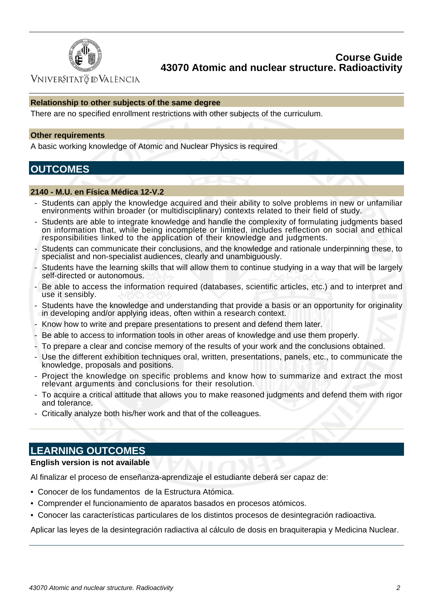

VNIVERSITATÖ ID VALÈNCIA

### **Relationship to other subjects of the same degree**

There are no specified enrollment restrictions with other subjects of the curriculum.

#### **Other requirements**

A basic working knowledge of Atomic and Nuclear Physics is required

## **OUTCOMES**

#### **2140 - M.U. en Física Médica 12-V.2**

- Students can apply the knowledge acquired and their ability to solve problems in new or unfamiliar environments within broader (or multidisciplinary) contexts related to their field of study.
- Students are able to integrate knowledge and handle the complexity of formulating judgments based on information that, while being incomplete or limited, includes reflection on social and ethical responsibilities linked to the application of their knowledge and judgments.
- Students can communicate their conclusions, and the knowledge and rationale underpinning these, to specialist and non-specialist audiences, clearly and unambiquously.
- Students have the learning skills that will allow them to continue studying in a way that will be largely self-directed or autonomous.
- Be able to access the information required (databases, scientific articles, etc.) and to interpret and use it sensibly.
- Students have the knowledge and understanding that provide a basis or an opportunity for originality in developing and/or applying ideas, often within a research context.
- Know how to write and prepare presentations to present and defend them later.
- Be able to access to information tools in other areas of knowledge and use them properly.
- To prepare a clear and concise memory of the results of your work and the conclusions obtained.
- Use the different exhibition techniques oral, written, presentations, panels, etc., to communicate the knowledge, proposals and positions.
- Project the knowledge on specific problems and know how to summarize and extract the most relevant arguments and conclusions for their resolution.
- To acquire a critical attitude that allows you to make reasoned judgments and defend them with rigor and tolerance.
- Critically analyze both his/her work and that of the colleagues.

## **LEARNING OUTCOMES**

### **English version is not available**

Al finalizar el proceso de enseñanza-aprendizaje el estudiante deberá ser capaz de:

- Conocer de los fundamentos de la Estructura Atómica.
- Comprender el funcionamiento de aparatos basados en procesos atómicos.
- Conocer las características particulares de los distintos procesos de desintegración radioactiva.

Aplicar las leyes de la desintegración radiactiva al cálculo de dosis en braquiterapia y Medicina Nuclear.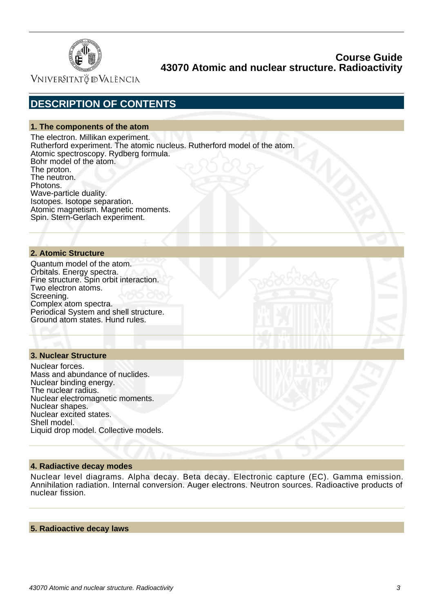

VNIVERSITATÖ ID VALÈNCIA

# **DESCRIPTION OF CONTENTS**

### **1. The components of the atom**

The electron. Millikan experiment. Rutherford experiment. The atomic nucleus. Rutherford model of the atom. Atomic spectroscopy. Rydberg formula. Bohr model of the atom. The proton. The neutron. Photons. Wave-particle duality. Isotopes. Isotope separation. Atomic magnetism. Magnetic moments. Spin. Stern-Gerlach experiment.

### **2. Atomic Structure**

Quantum model of the atom. Orbitals. Energy spectra. Fine structure. Spin orbit interaction. Two electron atoms. Screening. Complex atom spectra. Periodical System and shell structure. Ground atom states. Hund rules.

### **3. Nuclear Structure**

Nuclear forces. Mass and abundance of nuclides. Nuclear binding energy. The nuclear radius. Nuclear electromagnetic moments. Nuclear shapes. Nuclear excited states. Shell model. Liquid drop model. Collective models.

#### **4. Radiactive decay modes**

Nuclear level diagrams. Alpha decay. Beta decay. Electronic capture (EC). Gamma emission. Annihilation radiation. Internal conversion. Auger electrons. Neutron sources. Radioactive products of nuclear fission.

#### **5. Radioactive decay laws**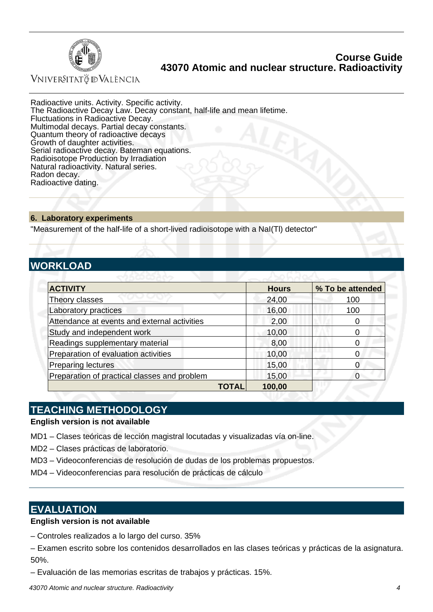

VNIVERSITATÖ ID VALÈNCIA

Radioactive units. Activity. Specific activity. The Radioactive Decay Law. Decay constant, half-life and mean lifetime. Fluctuations in Radioactive Decay. Multimodal decays. Partial decay constants. Quantum theory of radioactive decays Growth of daughter activities. Serial radioactive decay. Bateman equations. Radioisotope Production by Irradiation Natural radioactivity. Natural series. Radon decay. Radioactive dating.

#### **6. Laboratory experiments**

"Measurement of the half-life of a short-lived radioisotope with a NaI(Tl) detector"

# **WORKLOAD**

| <b>ACTIVITY</b>                              | <b>Hours</b> | % To be attended |
|----------------------------------------------|--------------|------------------|
| Theory classes                               | 24,00        | 100              |
| Laboratory practices                         | 16,00        | 100              |
| Attendance at events and external activities | 2,00         |                  |
| Study and independent work                   | 10,00        |                  |
| Readings supplementary material              | 8,00         |                  |
| Preparation of evaluation activities         | 10,00        |                  |
| <b>Preparing lectures</b>                    | 15,00        |                  |
| Preparation of practical classes and problem | 15,00        |                  |
| TOTAL                                        | 100,00       |                  |

## **TEACHING METHODOLOGY**

### **English version is not available**

- MD1 Clases teóricas de lección magistral locutadas y visualizadas vía on-line.
- MD2 Clases prácticas de laboratorio.
- MD3 Videoconferencias de resolución de dudas de los problemas propuestos.
- MD4 Videoconferencias para resolución de prácticas de cálculo

## **EVALUATION**

## **English version is not available**

- Controles realizados a lo largo del curso. 35%
- Examen escrito sobre los contenidos desarrollados en las clases teóricas y prácticas de la asignatura. 50%.
- Evaluación de las memorias escritas de trabajos y prácticas. 15%.